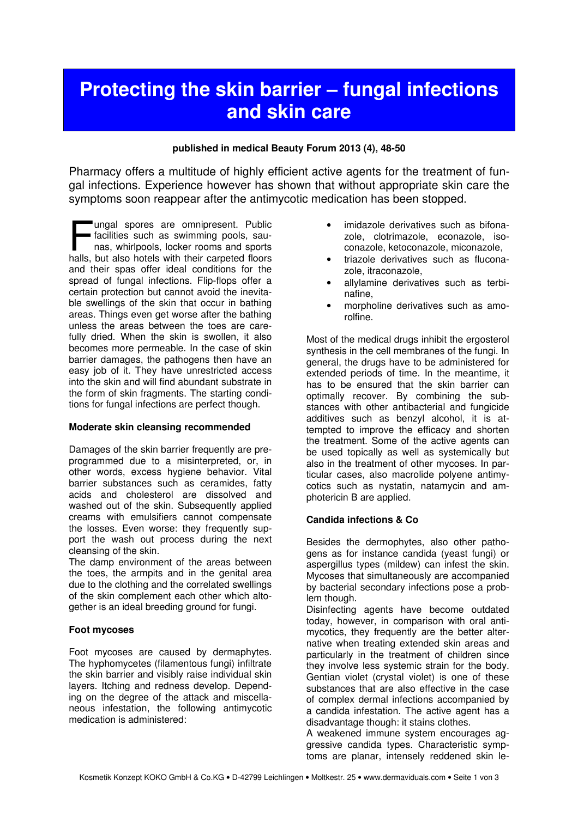# Protecting the skin barrier – fungal infections and skin care

#### published in medical Beauty Forum 2013 (4), 48-50

Pharmacy offers a multitude of highly efficient active agents for the treatment of fungal infections. Experience however has shown that without appropriate skin care the symptoms soon reappear after the antimycotic medication has been stopped.

ungal spores are omnipresent. Public facilities such as swimming pools, saunas, whirlpools, locker rooms and sports Impal spores are omnipresent. Public<br>facilities such as swimming pools, sau-<br>nas, whirlpools, locker rooms and sports<br>halls, but also hotels with their carpeted floors and their spas offer ideal conditions for the spread of fungal infections. Flip-flops offer a certain protection but cannot avoid the inevitable swellings of the skin that occur in bathing areas. Things even get worse after the bathing unless the areas between the toes are carefully dried. When the skin is swollen, it also becomes more permeable. In the case of skin barrier damages, the pathogens then have an easy job of it. They have unrestricted access into the skin and will find abundant substrate in the form of skin fragments. The starting conditions for fungal infections are perfect though.

#### Moderate skin cleansing recommended

Damages of the skin barrier frequently are preprogrammed due to a misinterpreted, or, in other words, excess hygiene behavior. Vital barrier substances such as ceramides, fatty acids and cholesterol are dissolved and washed out of the skin. Subsequently applied creams with emulsifiers cannot compensate the losses. Even worse: they frequently support the wash out process during the next cleansing of the skin.

The damp environment of the areas between the toes, the armpits and in the genital area due to the clothing and the correlated swellings of the skin complement each other which altogether is an ideal breeding ground for fungi.

#### Foot mycoses

Foot mycoses are caused by dermaphytes. The hyphomycetes (filamentous fungi) infiltrate the skin barrier and visibly raise individual skin layers. Itching and redness develop. Depending on the degree of the attack and miscellaneous infestation, the following antimycotic medication is administered:

- imidazole derivatives such as bifonazole, clotrimazole, econazole, isoconazole, ketoconazole, miconazole,
- triazole derivatives such as fluconazole, itraconazole,
- allylamine derivatives such as terbinafine,
- morpholine derivatives such as amorolfine.

Most of the medical drugs inhibit the ergosterol synthesis in the cell membranes of the fungi. In general, the drugs have to be administered for extended periods of time. In the meantime, it has to be ensured that the skin barrier can optimally recover. By combining the substances with other antibacterial and fungicide additives such as benzyl alcohol, it is attempted to improve the efficacy and shorten the treatment. Some of the active agents can be used topically as well as systemically but also in the treatment of other mycoses. In particular cases, also macrolide polyene antimycotics such as nystatin, natamycin and amphotericin B are applied.

#### Candida infections & Co

Besides the dermophytes, also other pathogens as for instance candida (yeast fungi) or aspergillus types (mildew) can infest the skin. Mycoses that simultaneously are accompanied by bacterial secondary infections pose a problem though.

Disinfecting agents have become outdated today, however, in comparison with oral antimycotics, they frequently are the better alternative when treating extended skin areas and particularly in the treatment of children since they involve less systemic strain for the body. Gentian violet (crystal violet) is one of these substances that are also effective in the case of complex dermal infections accompanied by a candida infestation. The active agent has a disadvantage though: it stains clothes.

A weakened immune system encourages aggressive candida types. Characteristic symptoms are planar, intensely reddened skin le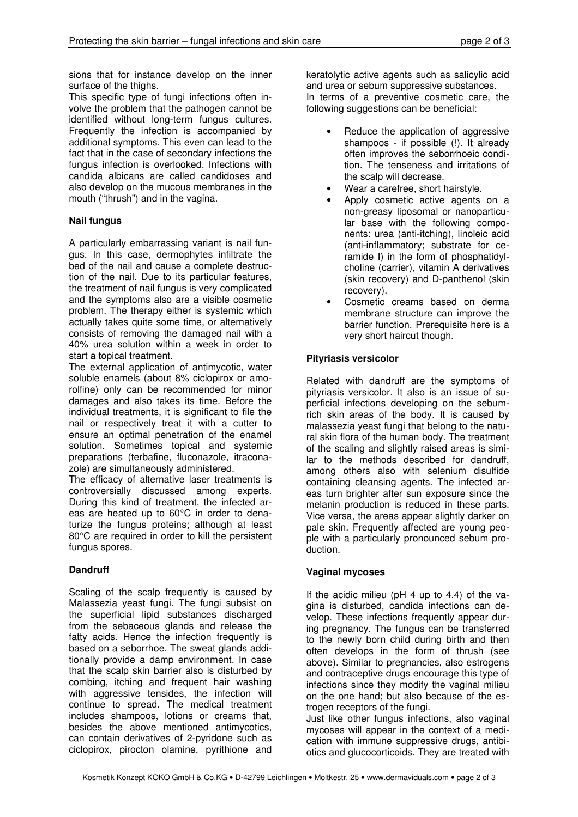sions that for instance develop on the inner surface of the thighs.

This specific type of fungi infections often involve the problem that the pathogen cannot be identified without long-term fungus cultures. Frequently the infection is accompanied by additional symptoms. This even can lead to the fact that in the case of secondary infections the fungus infection is overlooked. Infections with candida albicans are called candidoses and also develop on the mucous membranes in the mouth ("thrush") and in the vagina.

# Nail fungus

A particularly embarrassing variant is nail fungus. In this case, dermophytes infiltrate the bed of the nail and cause a complete destruction of the nail. Due to its particular features, the treatment of nail fungus is very complicated and the symptoms also are a visible cosmetic problem. The therapy either is systemic which actually takes quite some time, or alternatively consists of removing the damaged nail with a 40% urea solution within a week in order to start a topical treatment.

The external application of antimycotic, water soluble enamels (about 8% ciclopirox or amorolfine) only can be recommended for minor damages and also takes its time. Before the individual treatments, it is significant to file the nail or respectively treat it with a cutter to ensure an optimal penetration of the enamel solution. Sometimes topical and systemic preparations (terbafine, fluconazole, itraconazole) are simultaneously administered.

The efficacy of alternative laser treatments is controversially discussed among experts. During this kind of treatment, the infected areas are heated up to 60°C in order to denaturize the fungus proteins; although at least 80°C are required in order to kill the persistent fungus spores.

# **Dandruff**

Scaling of the scalp frequently is caused by Malassezia yeast fungi. The fungi subsist on the superficial lipid substances discharged from the sebaceous glands and release the fatty acids. Hence the infection frequently is based on a seborrhoe. The sweat glands additionally provide a damp environment. In case that the scalp skin barrier also is disturbed by combing, itching and frequent hair washing with aggressive tensides, the infection will continue to spread. The medical treatment includes shampoos, lotions or creams that, besides the above mentioned antimycotics, can contain derivatives of 2-pyridone such as ciclopirox, pirocton olamine, pyrithione and

keratolytic active agents such as salicylic acid and urea or sebum suppressive substances. In terms of a preventive cosmetic care, the following suggestions can be beneficial:

- Reduce the application of aggressive shampoos - if possible (!). It already often improves the seborrhoeic condition. The tenseness and irritations of the scalp will decrease.
- Wear a carefree, short hairstyle.
- Apply cosmetic active agents on a non-greasy liposomal or nanoparticular base with the following components: urea (anti-itching), linoleic acid (anti-inflammatory; substrate for ceramide I) in the form of phosphatidylcholine (carrier), vitamin A derivatives (skin recovery) and D-panthenol (skin recovery).
- Cosmetic creams based on derma membrane structure can improve the barrier function. Prerequisite here is a very short haircut though.

# Pityriasis versicolor

Related with dandruff are the symptoms of pityriasis versicolor. It also is an issue of superficial infections developing on the sebumrich skin areas of the body. It is caused by malassezia yeast fungi that belong to the natural skin flora of the human body. The treatment of the scaling and slightly raised areas is similar to the methods described for dandruff, among others also with selenium disulfide containing cleansing agents. The infected areas turn brighter after sun exposure since the melanin production is reduced in these parts. Vice versa, the areas appear slightly darker on pale skin. Frequently affected are young people with a particularly pronounced sebum production.

# Vaginal mycoses

If the acidic milieu (pH 4 up to 4.4) of the vagina is disturbed, candida infections can develop. These infections frequently appear during pregnancy. The fungus can be transferred to the newly born child during birth and then often develops in the form of thrush (see above). Similar to pregnancies, also estrogens and contraceptive drugs encourage this type of infections since they modify the vaginal milieu on the one hand; but also because of the estrogen receptors of the fungi.

Just like other fungus infections, also vaginal mycoses will appear in the context of a medication with immune suppressive drugs, antibiotics and glucocorticoids. They are treated with